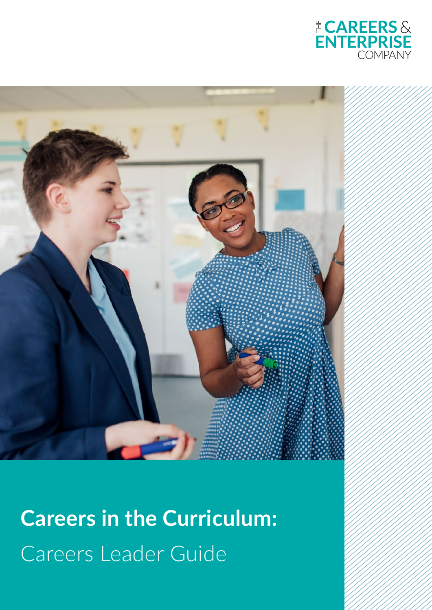



**Careers in the Curriculum:** Careers Leader Guide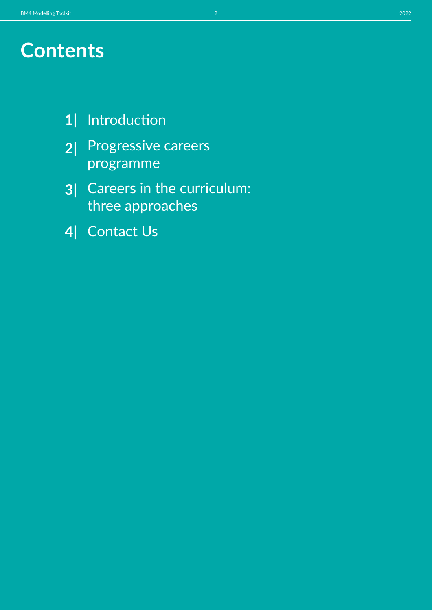- Introduction **1|**
- Progressive careers programme **2|**
- Careers in the curriculum: three approaches **3|**
- Contact Us **4|**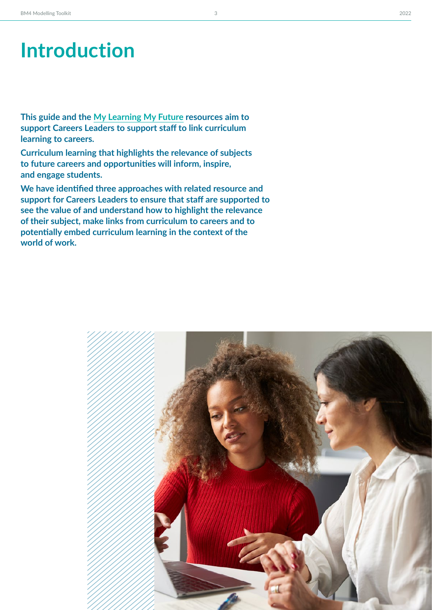**This guide and the [My Learning My Future](https://resources.careersandenterprise.co.uk/my-learning-my-future) resources aim to support Careers Leaders to support staff to link curriculum learning to careers.** 

**Curriculum learning that highlights the relevance of subjects to future careers and opportunities will inform, inspire, and engage students.** 

**We have identified three approaches with related resource and support for Careers Leaders to ensure that staff are supported to see the value of and understand how to highlight the relevance of their subject, make links from curriculum to careers and to potentially embed curriculum learning in the context of the world of work.** 

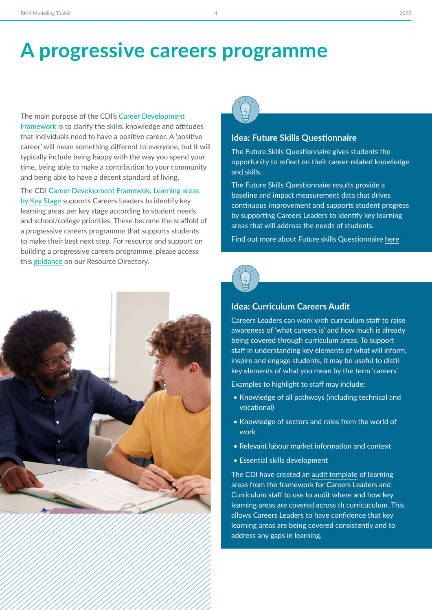### **A progressive careers programme**

The main purpose of the CDI's [Career Development](http://The%20main%20purpose%20of%20the%20CDI’s%20Career%20Development%20Framework%20is%20to%20clarify%20the%20skills,%20knowledge%20and%20attitudes%20that%20individuals%20need%20to%20have%20a%20positive%20career.%20A%20‘positive%20career’%20will%20mean%20something%20different%20to%20everyone,%20but%20it%20will%20typically%20include%20being%20happy%20with%20the%20way%20you%20spend%20your%20time,%20being%20able%20to%20make%20a%20contribution%20to%20your%20community%20and%20being%20able%20to%20have%20a%20decent%20standard%20of%20living.)  [Framework](http://The%20main%20purpose%20of%20the%20CDI’s%20Career%20Development%20Framework%20is%20to%20clarify%20the%20skills,%20knowledge%20and%20attitudes%20that%20individuals%20need%20to%20have%20a%20positive%20career.%20A%20‘positive%20career’%20will%20mean%20something%20different%20to%20everyone,%20but%20it%20will%20typically%20include%20being%20happy%20with%20the%20way%20you%20spend%20your%20time,%20being%20able%20to%20make%20a%20contribution%20to%20your%20community%20and%20being%20able%20to%20have%20a%20decent%20standard%20of%20living.)is to clarify the skills, knowledge and attitudes that individuals need to have a positive career. A 'positive career' will mean something different to everyone, but it will typically include being happy with the way you spend your time, being able to make a contribution to your community and being able to have a decent standard of living.

The CDI [Career Development Framewok: Learning areas](https://www.thecdi.net/write/Framework/CDI_145-Merging_the_two_frameworks-A3_poster-v4.pdf)  [by Key Stage](https://www.thecdi.net/write/Framework/CDI_145-Merging_the_two_frameworks-A3_poster-v4.pdf) supports Careers Leaders to identify key learning areas per key stage according to student needs and school/college priorities. These become the scaffold of a progressive careers programme that supports students to make their best next step. For resource and support on building a progressive careers programme, please access this [guidance](https://resources.careersandenterprise.co.uk/resources/gatsby-benchmark-1-module-2-building-progressive-careers-programme) on our Resource Directory.





#### **Idea: Future Skills Questionnaire**

The[Future Skills Questionnaire](https://resources.careersandenterprise.co.uk/resources/support-students-make-successful-transition) gives students the opportunity to reflect on their career-related knowledge and skills. 

The Future Skills Questionnaire results provide a baseline and impact measurement data that drives continuous improvement and supports student progress by supporting Careers Leaders to identify key learning areas that will address the needs of students.

Find out more about Future skills Questionnaire [here](https://resources.careersandenterprise.co.uk/resources/support-students-make-successful-transition)



#### **Idea: Curriculum Careers Audit**

Careers Leaders can work with curriculum staff to raise awareness of 'what careers is' and how much is already being covered through curriculum areas. To support staff in understanding key elements of what will inform, inspire and engage students, it may be useful to distil key elements of what you mean by the term 'careers'.

Examples to highlight to staff may include:

- Knowledge of all pathways (including technical and vocational)
- Knowledge of sectors and roles from the world of work
- Relevant labour market information and context
- Essential skills development

The CDI have created an [audit template](https://view.officeapps.live.com/op/view.aspx?src=https%3A%2F%2Fwww.thecdi.net%2Fwrite%2FFramework%2FCareer_Development_Audit_using_the_CDI_Framework-ks3-post16.docx&wdOrigin=BROWSELINK) of learning areas from the framework for Careers Leaders and Curriculum staff to use to audit where and how key learning areas are covered across th curricuculum. This allows Careers Leaders to have confidence that key learning areas are being covered consistently and to address any gaps in learning.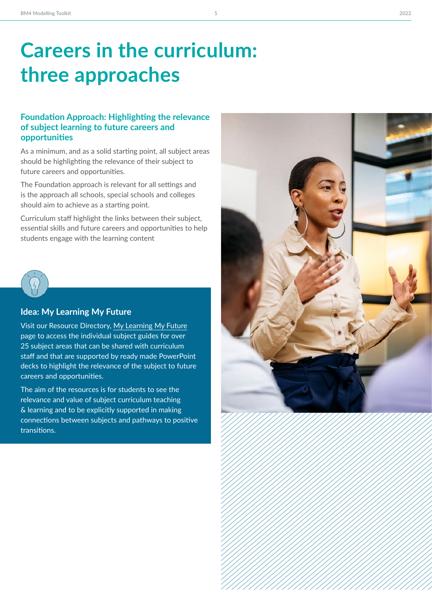## **Careers in the curriculum: three approaches**

#### **Foundation Approach: Highlighting the relevance of subject learning to future careers and opportunities**

As a minimum, and as a solid starting point, all subject areas should be highlighting the relevance of their subject to future careers and opportunities.

The Foundation approach is relevant for all settings and is the approach all schools, special schools and colleges should aim to achieve as a starting point.

Curriculum staff highlight the links between their subject, essential skills and future careers and opportunities to help students engage with the learning content



#### **Idea: My Learning My Future**

Visit our Resource Directory, [My Learning My Future](https://resources.careersandenterprise.co.uk/my-learning-my-future) page to access the individual subject guides for over 25 subject areas that can be shared with curriculum staff and that are supported by ready made PowerPoint decks to highlight the relevance of the subject to future careers and opportunities.

The aim of the resources is for students to see the relevance and value of subject curriculum teaching & learning and to be explicitly supported in making connections between subjects and pathways to positive transitions.

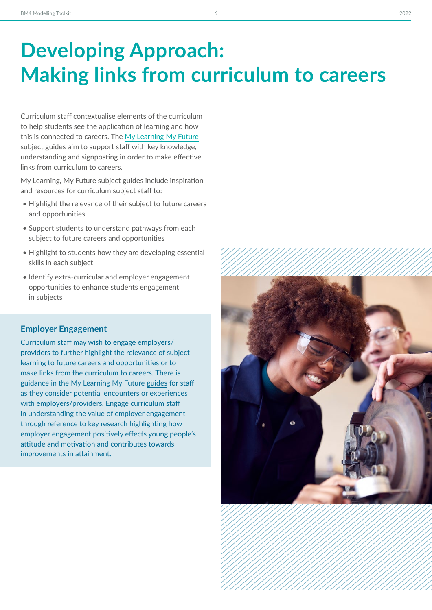# **Developing Approach: Making links from curriculum to careers**

Curriculum staff contextualise elements of the curriculum to help students see the application of learning and how this is connected to careers. The [My Learning My Future](https://resources.careersandenterprise.co.uk/my-learning-my-future) subject guides aim to support staff with key knowledge, understanding and signposting in order to make effective links from curriculum to careers.

My Learning, My Future subject guides include inspiration and resources for curriculum subject staff to:

- Highlight the relevance of their subject to future careers and opportunities
- Support students to understand pathways from each subject to future careers and opportunities
- Highlight to students how they are developing essential skills in each subject
- Identify extra-curricular and employer engagement opportunities to enhance students engagement in subjects

#### **Employer Engagement**

Curriculum staff may wish to engage employers/ providers to further highlight the relevance of subject learning to future careers and opportunities or to make links from the curriculum to careers. There is guidance in the My Learning My Future [guides](https://resources.careersandenterprise.co.uk/my-learning-my-future) for staff as they consider potential encounters or experiences with employers/providers. Engage curriculum staff in understanding the value of employer engagement through reference to [key research](https://www.educationandemployers.org/research/motivated-to-achieve/?msclkid=581a2a63cf8811ec95764632da2eb372) highlighting how employer engagement positively effects young people's attitude and motivation and contributes towards improvements in attainment.

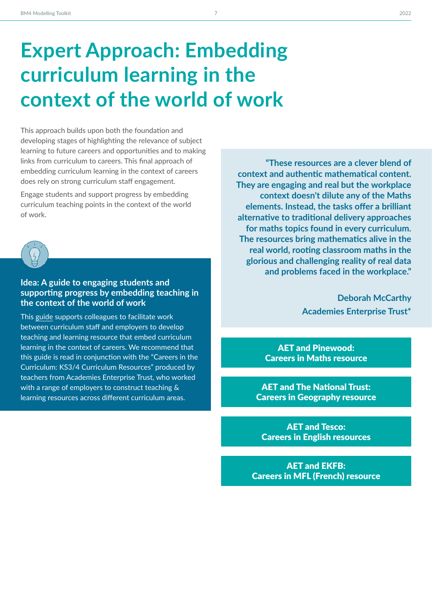# **Expert Approach: Embedding curriculum learning in the context of the world of work**

This approach builds upon both the foundation and developing stages of highlighting the relevance of subject learning to future careers and opportunities and to making links from curriculum to careers. This final approach of embedding curriculum learning in the context of careers does rely on strong curriculum staff engagement.

Engage students and support progress by embedding curriculum teaching points in the context of the world of work.



### **Idea: A guide to engaging students and supporting progress by embedding teaching in the context of the world of work**

This [guide](https://resources.careersandenterprise.co.uk/sites/default/files/2021-09/1502_BM4%20Model%20Guide%20FINAL.pdf) supports colleagues to facilitate work between curriculum staff and employers to develop teaching and learning resource that embed curriculum learning in the context of careers. We recommend that this guide is read in conjunction with the "Careers in the Curriculum: KS3/4 Curriculum Resources" produced by teachers from Academies Enterprise Trust, who worked with a range of employers to construct teaching & learning resources across different curriculum areas.

**"These resources are a clever blend of context and authentic mathematical content.  They are engaging and real but the workplace context doesn't dilute any of the Maths elements. Instead, the tasks offer a brilliant alternative to traditional delivery approaches for maths topics found in every curriculum. The resources bring mathematics alive in the real world, rooting classroom maths in the glorious and challenging reality of real data and problems faced in the workplace."** 

> **Deborah McCarthy Academies Enterprise Trust\***

AET and Pinewood: [Careers in Maths resource](https://resources.careersandenterprise.co.uk/resources/aet-and-pinewood-careers-maths-resource)

AET and The National Trust: [Careers in Geography resource](https://resources.careersandenterprise.co.uk/resources/aet-and-national-trust-careers-geography-resource)

AET and Tesco: [Careers in English resources](https://resources.careersandenterprise.co.uk/resources/aet-and-tesco-careers-english-resources)

AET and EKFB: [Careers in MFL \(French\) resource](https://resources.careersandenterprise.co.uk/resources/aet-and-ekfb-careers-mfl-french-resource)